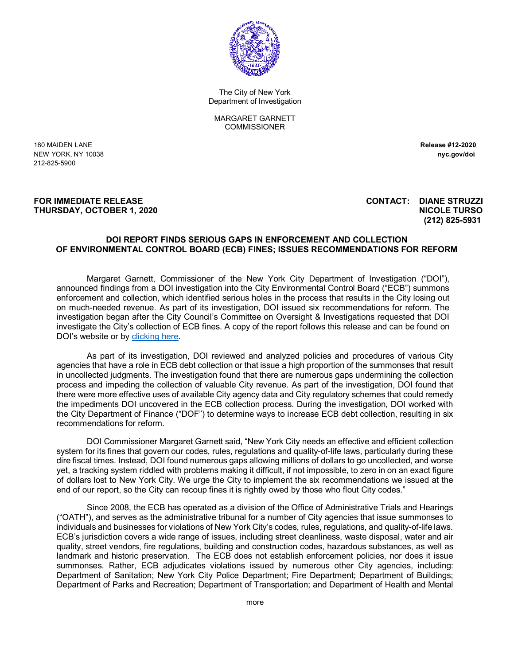

The City of New York Department of Investigation

MARGARET GARNETT **COMMISSIONER** 

180 MAIDEN LANE **Release #12-2020** NEW YORK, NY 10038 **nyc.gov/doi** 212-825-5900

#### **FOR IMMEDIATE RELEASE CONTACT: DIANE STRUZZI THURSDAY, OCTOBER 1, 2020 NICOLE TURSO**

# **(212) 825-5931**

#### **DOI REPORT FINDS SERIOUS GAPS IN ENFORCEMENT AND COLLECTION OF ENVIRONMENTAL CONTROL BOARD (ECB) FINES; ISSUES RECOMMENDATIONS FOR REFORM**

Margaret Garnett, Commissioner of the New York City Department of Investigation ("DOI"), announced findings from a DOI investigation into the City Environmental Control Board ("ECB") summons enforcement and collection, which identified serious holes in the process that results in the City losing out on much-needed revenue. As part of its investigation, DOI issued six recommendations for reform. The investigation began after the City Council's Committee on Oversight & Investigations requested that DOI investigate the City's collection of ECB fines. A copy of the report follows this release and can be found on DOI's website or by **clicking here**.

As part of its investigation, DOI reviewed and analyzed policies and procedures of various City agencies that have a role in ECB debt collection or that issue a high proportion of the summonses that result in uncollected judgments. The investigation found that there are numerous gaps undermining the collection process and impeding the collection of valuable City revenue. As part of the investigation, DOI found that there were more effective uses of available City agency data and City regulatory schemes that could remedy the impediments DOI uncovered in the ECB collection process. During the investigation, DOI worked with the City Department of Finance ("DOF") to determine ways to increase ECB debt collection, resulting in six recommendations for reform.

DOI Commissioner Margaret Garnett said, "New York City needs an effective and efficient collection system for its fines that govern our codes, rules, regulations and quality-of-life laws, particularly during these dire fiscal times. Instead, DOI found numerous gaps allowing millions of dollars to go uncollected, and worse yet, a tracking system riddled with problems making it difficult, if not impossible, to zero in on an exact figure of dollars lost to New York City. We urge the City to implement the six recommendations we issued at the end of our report, so the City can recoup fines it is rightly owed by those who flout City codes."

Since 2008, the ECB has operated as a division of the Office of Administrative Trials and Hearings ("OATH"), and serves as the administrative tribunal for a number of City agencies that issue summonses to individuals and businesses for violations of New York City's codes, rules, regulations, and quality-of-life laws. ECB's jurisdiction covers a wide range of issues, including street cleanliness, waste disposal, water and air quality, street vendors, fire regulations, building and construction codes, hazardous substances, as well as landmark and historic preservation. The ECB does not establish enforcement policies, nor does it issue summonses. Rather, ECB adjudicates violations issued by numerous other City agencies, including: Department of Sanitation; New York City Police Department; Fire Department; Department of Buildings; Department of Parks and Recreation; Department of Transportation; and Department of Health and Mental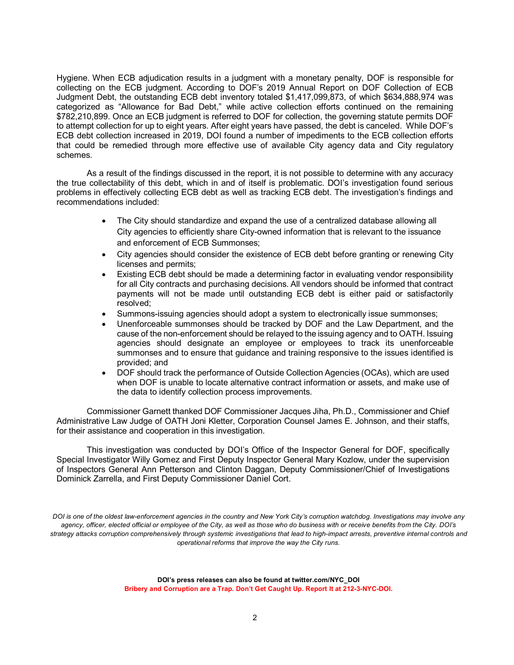Hygiene. When ECB adjudication results in a judgment with a monetary penalty, DOF is responsible for collecting on the ECB judgment. According to DOF's 2019 Annual Report on DOF Collection of ECB Judgment Debt, the outstanding ECB debt inventory totaled \$1,417,099,873, of which \$634,888,974 was categorized as "Allowance for Bad Debt," while active collection efforts continued on the remaining \$782,210,899. Once an ECB judgment is referred to DOF for collection, the governing statute permits DOF to attempt collection for up to eight years. After eight years have passed, the debt is canceled. While DOF's ECB debt collection increased in 2019, DOI found a number of impediments to the ECB collection efforts that could be remedied through more effective use of available City agency data and City regulatory schemes.

As a result of the findings discussed in the report, it is not possible to determine with any accuracy the true collectability of this debt, which in and of itself is problematic. DOI's investigation found serious problems in effectively collecting ECB debt as well as tracking ECB debt. The investigation's findings and recommendations included:

- The City should standardize and expand the use of a centralized database allowing all City agencies to efficiently share City-owned information that is relevant to the issuance and enforcement of ECB Summonses;
- City agencies should consider the existence of ECB debt before granting or renewing City licenses and permits;
- Existing ECB debt should be made a determining factor in evaluating vendor responsibility for all City contracts and purchasing decisions. All vendors should be informed that contract payments will not be made until outstanding ECB debt is either paid or satisfactorily resolved;
- Summons-issuing agencies should adopt a system to electronically issue summonses;
- Unenforceable summonses should be tracked by DOF and the Law Department, and the cause of the non-enforcement should be relayed to the issuing agency and to OATH. Issuing agencies should designate an employee or employees to track its unenforceable summonses and to ensure that guidance and training responsive to the issues identified is provided; and
- DOF should track the performance of Outside Collection Agencies (OCAs), which are used when DOF is unable to locate alternative contract information or assets, and make use of the data to identify collection process improvements.

Commissioner Garnett thanked DOF Commissioner Jacques Jiha, Ph.D., Commissioner and Chief Administrative Law Judge of OATH Joni Kletter, Corporation Counsel James E. Johnson, and their staffs, for their assistance and cooperation in this investigation.

This investigation was conducted by DOI's Office of the Inspector General for DOF, specifically Special Investigator Willy Gomez and First Deputy Inspector General Mary Kozlow, under the supervision of Inspectors General Ann Petterson and Clinton Daggan, Deputy Commissioner/Chief of Investigations Dominick Zarrella, and First Deputy Commissioner Daniel Cort.

*DOI is one of the oldest law-enforcement agencies in the country and New York City's corruption watchdog. Investigations may involve any agency, officer, elected official or employee of the City, as well as those who do business with or receive benefits from the City. DOI's strategy attacks corruption comprehensively through systemic investigations that lead to high-impact arrests, preventive internal controls and operational reforms that improve the way the City runs.* 

> **DOI's press releases can also be found at twitter.com/NYC\_DOI Bribery and Corruption are a Trap. Don't Get Caught Up. Report It at 212-3-NYC-DOI.**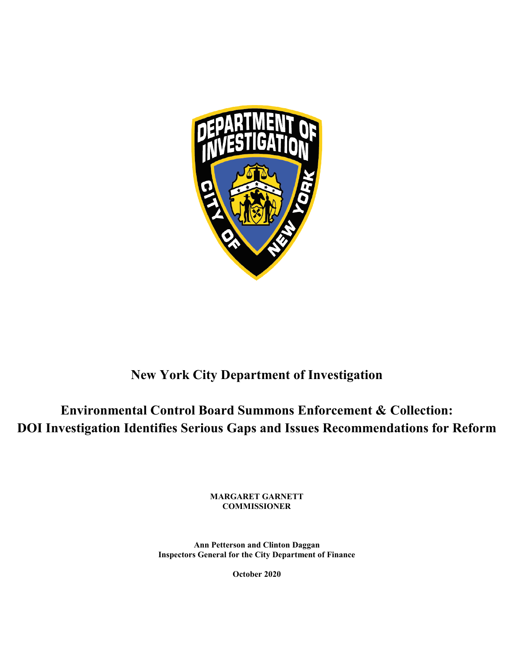

### **New York City Department of Investigation**

**Environmental Control Board Summons Enforcement & Collection: DOI Investigation Identifies Serious Gaps and Issues Recommendations for Reform**

> **MARGARET GARNETT COMMISSIONER**

**Ann Petterson and Clinton Daggan Inspectors General for the City Department of Finance**

**October 2020**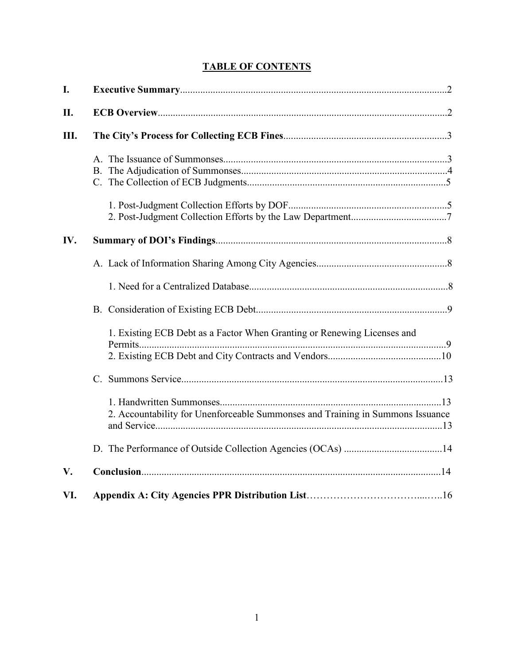#### **TABLE OF CONTENTS**

| I.            |                                                                                |
|---------------|--------------------------------------------------------------------------------|
| II.           |                                                                                |
| Ш.            |                                                                                |
|               |                                                                                |
|               |                                                                                |
| IV.           |                                                                                |
|               |                                                                                |
|               |                                                                                |
|               |                                                                                |
|               | 1. Existing ECB Debt as a Factor When Granting or Renewing Licenses and        |
|               |                                                                                |
|               | 2. Accountability for Unenforceable Summonses and Training in Summons Issuance |
|               |                                                                                |
| $V_{\bullet}$ |                                                                                |
| VI.           |                                                                                |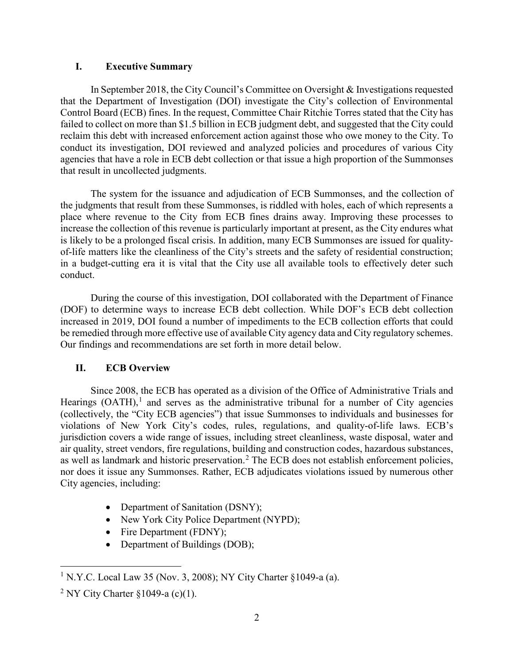#### **I. Executive Summary**

In September 2018, the City Council's Committee on Oversight & Investigations requested that the Department of Investigation (DOI) investigate the City's collection of Environmental Control Board (ECB) fines. In the request, Committee Chair Ritchie Torres stated that the City has failed to collect on more than \$1.5 billion in ECB judgment debt, and suggested that the City could reclaim this debt with increased enforcement action against those who owe money to the City. To conduct its investigation, DOI reviewed and analyzed policies and procedures of various City agencies that have a role in ECB debt collection or that issue a high proportion of the Summonses that result in uncollected judgments.

The system for the issuance and adjudication of ECB Summonses, and the collection of the judgments that result from these Summonses, is riddled with holes, each of which represents a place where revenue to the City from ECB fines drains away. Improving these processes to increase the collection of this revenue is particularly important at present, as the City endures what is likely to be a prolonged fiscal crisis. In addition, many ECB Summonses are issued for qualityof-life matters like the cleanliness of the City's streets and the safety of residential construction; in a budget-cutting era it is vital that the City use all available tools to effectively deter such conduct.

During the course of this investigation, DOI collaborated with the Department of Finance (DOF) to determine ways to increase ECB debt collection. While DOF's ECB debt collection increased in 2019, DOI found a number of impediments to the ECB collection efforts that could be remedied through more effective use of available City agency data and City regulatory schemes. Our findings and recommendations are set forth in more detail below.

#### **II. ECB Overview**

Since 2008, the ECB has operated as a division of the Office of Administrative Trials and Hearings  $(OATH)$ ,<sup>[1](#page-4-0)</sup> and serves as the administrative tribunal for a number of City agencies (collectively, the "City ECB agencies") that issue Summonses to individuals and businesses for violations of New York City's codes, rules, regulations, and quality-of-life laws. ECB's jurisdiction covers a wide range of issues, including street cleanliness, waste disposal, water and air quality, street vendors, fire regulations, building and construction codes, hazardous substances, as well as landmark and historic preservation.<sup>[2](#page-4-1)</sup> The ECB does not establish enforcement policies, nor does it issue any Summonses. Rather, ECB adjudicates violations issued by numerous other City agencies, including:

- Department of Sanitation (DSNY);
- New York City Police Department (NYPD);
- Fire Department (FDNY);
- Department of Buildings (DOB);

<span id="page-4-0"></span><sup>&</sup>lt;sup>1</sup> N.Y.C. Local Law 35 (Nov. 3, 2008); NY City Charter §1049-a (a).

<span id="page-4-1"></span><sup>&</sup>lt;sup>2</sup> NY City Charter  $\S 1049$ -a (c)(1).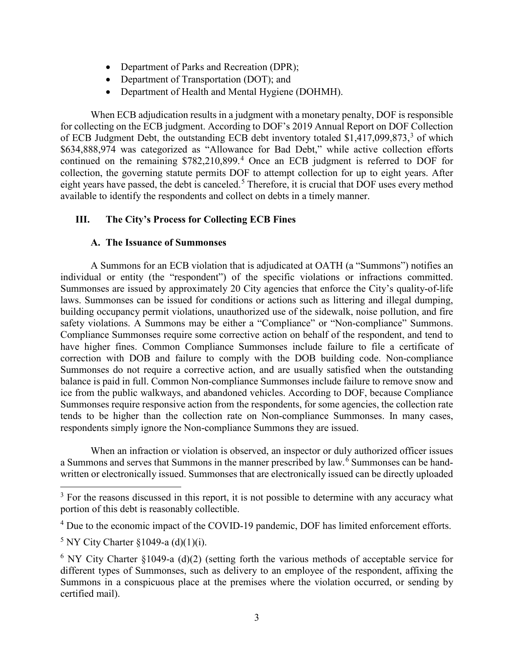- Department of Parks and Recreation (DPR);
- Department of Transportation (DOT); and
- Department of Health and Mental Hygiene (DOHMH).

When ECB adjudication results in a judgment with a monetary penalty, DOF is responsible for collecting on the ECB judgment. According to DOF's 2019 Annual Report on DOF Collection of ECB Judgment Debt, the outstanding ECB debt inventory totaled  $$1,417,099,873,3$  $$1,417,099,873,3$  $$1,417,099,873,3$  of which \$634,888,974 was categorized as "Allowance for Bad Debt," while active collection efforts continued on the remaining \$782,210,899.<sup>[4](#page-5-1)</sup> Once an ECB judgment is referred to DOF for collection, the governing statute permits DOF to attempt collection for up to eight years. After eight years have passed, the debt is canceled.<sup>[5](#page-5-2)</sup> Therefore, it is crucial that DOF uses every method available to identify the respondents and collect on debts in a timely manner.

#### **III. The City's Process for Collecting ECB Fines**

#### **A. The Issuance of Summonses**

A Summons for an ECB violation that is adjudicated at OATH (a "Summons") notifies an individual or entity (the "respondent") of the specific violations or infractions committed. Summonses are issued by approximately 20 City agencies that enforce the City's quality-of-life laws. Summonses can be issued for conditions or actions such as littering and illegal dumping, building occupancy permit violations, unauthorized use of the sidewalk, noise pollution, and fire safety violations. A Summons may be either a "Compliance" or "Non-compliance" Summons. Compliance Summonses require some corrective action on behalf of the respondent, and tend to have higher fines. Common Compliance Summonses include failure to file a certificate of correction with DOB and failure to comply with the DOB building code. Non-compliance Summonses do not require a corrective action, and are usually satisfied when the outstanding balance is paid in full. Common Non-compliance Summonses include failure to remove snow and ice from the public walkways, and abandoned vehicles. According to DOF, because Compliance Summonses require responsive action from the respondents, for some agencies, the collection rate tends to be higher than the collection rate on Non-compliance Summonses. In many cases, respondents simply ignore the Non-compliance Summons they are issued.

When an infraction or violation is observed, an inspector or duly authorized officer issues a Summons and serves that Summons in the manner prescribed by law.<sup>[6](#page-5-3)</sup> Summonses can be handwritten or electronically issued. Summonses that are electronically issued can be directly uploaded

<span id="page-5-0"></span><sup>&</sup>lt;sup>3</sup> For the reasons discussed in this report, it is not possible to determine with any accuracy what portion of this debt is reasonably collectible.

<span id="page-5-1"></span><sup>&</sup>lt;sup>4</sup> Due to the economic impact of the COVID-19 pandemic, DOF has limited enforcement efforts.

<span id="page-5-2"></span> $5$  NY City Charter §1049-a (d)(1)(i).

<span id="page-5-3"></span> $6$  NY City Charter §1049-a (d)(2) (setting forth the various methods of acceptable service for different types of Summonses, such as delivery to an employee of the respondent, affixing the Summons in a conspicuous place at the premises where the violation occurred, or sending by certified mail).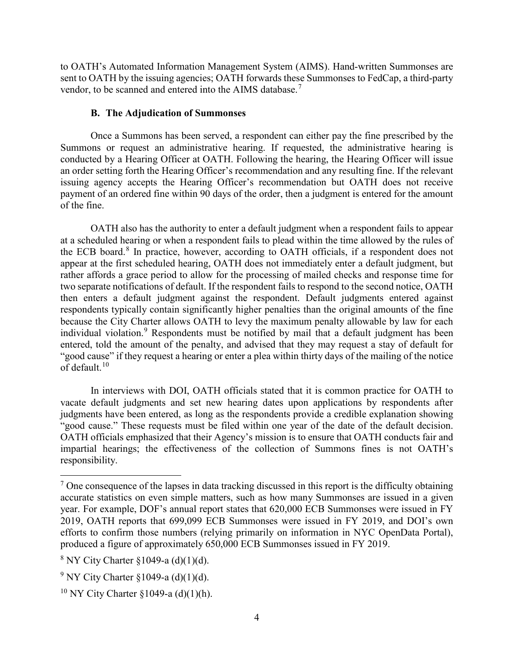to OATH's Automated Information Management System (AIMS). Hand-written Summonses are sent to OATH by the issuing agencies; OATH forwards these Summonses to FedCap, a third-party vendor, to be scanned and entered into the AIMS database.<sup>[7](#page-6-0)</sup>

#### **B. The Adjudication of Summonses**

Once a Summons has been served, a respondent can either pay the fine prescribed by the Summons or request an administrative hearing. If requested, the administrative hearing is conducted by a Hearing Officer at OATH. Following the hearing, the Hearing Officer will issue an order setting forth the Hearing Officer's recommendation and any resulting fine. If the relevant issuing agency accepts the Hearing Officer's recommendation but OATH does not receive payment of an ordered fine within 90 days of the order, then a judgment is entered for the amount of the fine.

OATH also has the authority to enter a default judgment when a respondent fails to appear at a scheduled hearing or when a respondent fails to plead within the time allowed by the rules of the ECB board. [8](#page-6-1) In practice, however, according to OATH officials, if a respondent does not appear at the first scheduled hearing, OATH does not immediately enter a default judgment, but rather affords a grace period to allow for the processing of mailed checks and response time for two separate notifications of default. If the respondent fails to respond to the second notice, OATH then enters a default judgment against the respondent. Default judgments entered against respondents typically contain significantly higher penalties than the original amounts of the fine because the City Charter allows OATH to levy the maximum penalty allowable by law for each individual violation.<sup>[9](#page-6-2)</sup> Respondents must be notified by mail that a default judgment has been entered, told the amount of the penalty, and advised that they may request a stay of default for "good cause" if they request a hearing or enter a plea within thirty days of the mailing of the notice of default. $10$ 

In interviews with DOI, OATH officials stated that it is common practice for OATH to vacate default judgments and set new hearing dates upon applications by respondents after judgments have been entered, as long as the respondents provide a credible explanation showing "good cause." These requests must be filed within one year of the date of the default decision. OATH officials emphasized that their Agency's mission is to ensure that OATH conducts fair and impartial hearings; the effectiveness of the collection of Summons fines is not OATH's responsibility.

<span id="page-6-0"></span> $<sup>7</sup>$  One consequence of the lapses in data tracking discussed in this report is the difficulty obtaining</sup> accurate statistics on even simple matters, such as how many Summonses are issued in a given year. For example, DOF's annual report states that 620,000 ECB Summonses were issued in FY 2019, OATH reports that 699,099 ECB Summonses were issued in FY 2019, and DOI's own efforts to confirm those numbers (relying primarily on information in NYC OpenData Portal), produced a figure of approximately 650,000 ECB Summonses issued in FY 2019.

<span id="page-6-1"></span> $8$  NY City Charter  $$1049-a$  (d)(1)(d).

<span id="page-6-2"></span> $9$  NY City Charter §1049-a (d)(1)(d).

<span id="page-6-3"></span><sup>&</sup>lt;sup>10</sup> NY City Charter §1049-a (d)(1)(h).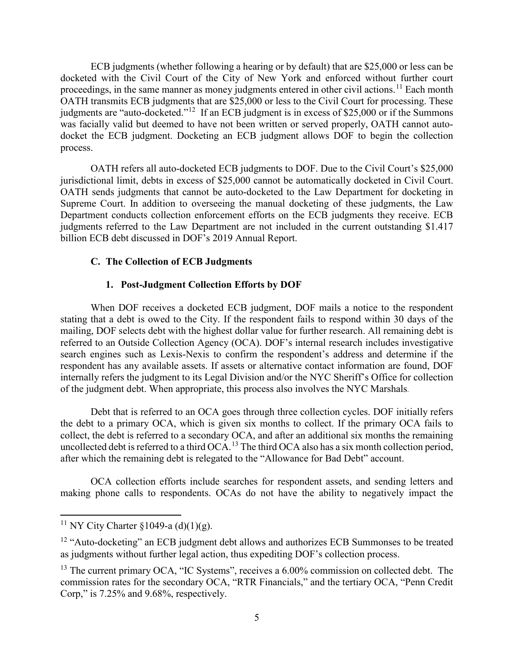ECB judgments (whether following a hearing or by default) that are \$25,000 or less can be docketed with the Civil Court of the City of New York and enforced without further court proceedings, in the same manner as money judgments entered in other civil actions.<sup>[11](#page-7-0)</sup> Each month OATH transmits ECB judgments that are \$25,000 or less to the Civil Court for processing. These judgments are "auto-docketed."[12](#page-7-1) If an ECB judgment is in excess of \$25,000 or if the Summons was facially valid but deemed to have not been written or served properly, OATH cannot autodocket the ECB judgment. Docketing an ECB judgment allows DOF to begin the collection process.

OATH refers all auto-docketed ECB judgments to DOF. Due to the Civil Court's \$25,000 jurisdictional limit, debts in excess of \$25,000 cannot be automatically docketed in Civil Court. OATH sends judgments that cannot be auto-docketed to the Law Department for docketing in Supreme Court. In addition to overseeing the manual docketing of these judgments, the Law Department conducts collection enforcement efforts on the ECB judgments they receive. ECB judgments referred to the Law Department are not included in the current outstanding \$1.417 billion ECB debt discussed in DOF's 2019 Annual Report.

#### **C. The Collection of ECB Judgments**

#### **1. Post-Judgment Collection Efforts by DOF**

When DOF receives a docketed ECB judgment, DOF mails a notice to the respondent stating that a debt is owed to the City. If the respondent fails to respond within 30 days of the mailing, DOF selects debt with the highest dollar value for further research. All remaining debt is referred to an Outside Collection Agency (OCA). DOF's internal research includes investigative search engines such as Lexis-Nexis to confirm the respondent's address and determine if the respondent has any available assets. If assets or alternative contact information are found, DOF internally refers the judgment to its Legal Division and/or the NYC Sheriff's Office for collection of the judgment debt. When appropriate, this process also involves the NYC Marshals.

Debt that is referred to an OCA goes through three collection cycles. DOF initially refers the debt to a primary OCA, which is given six months to collect. If the primary OCA fails to collect, the debt is referred to a secondary OCA, and after an additional six months the remaining uncollected debt is referred to a third OCA.<sup>[13](#page-7-2)</sup> The third OCA also has a six month collection period, after which the remaining debt is relegated to the "Allowance for Bad Debt" account.

OCA collection efforts include searches for respondent assets, and sending letters and making phone calls to respondents. OCAs do not have the ability to negatively impact the

<span id="page-7-0"></span><sup>&</sup>lt;sup>11</sup> NY City Charter §1049-a (d)(1)(g).

<span id="page-7-1"></span><sup>&</sup>lt;sup>12</sup> "Auto-docketing" an ECB judgment debt allows and authorizes ECB Summonses to be treated as judgments without further legal action, thus expediting DOF's collection process.

<span id="page-7-2"></span><sup>&</sup>lt;sup>13</sup> The current primary OCA, "IC Systems", receives a 6.00% commission on collected debt. The commission rates for the secondary OCA, "RTR Financials," and the tertiary OCA, "Penn Credit Corp," is 7.25% and 9.68%, respectively.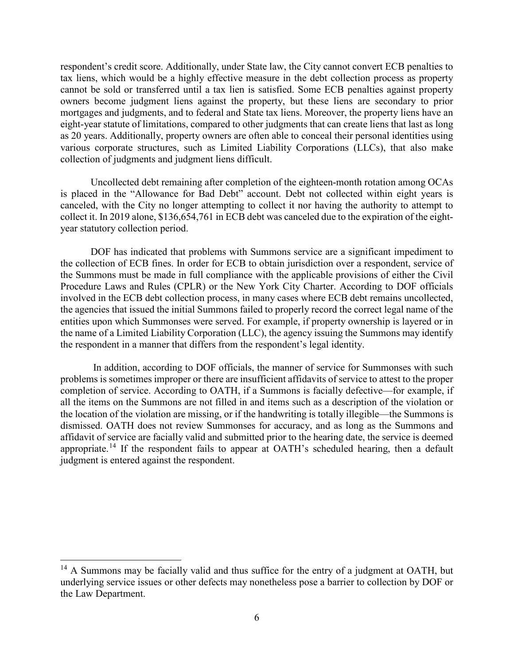respondent's credit score. Additionally, under State law, the City cannot convert ECB penalties to tax liens, which would be a highly effective measure in the debt collection process as property cannot be sold or transferred until a tax lien is satisfied. Some ECB penalties against property owners become judgment liens against the property, but these liens are secondary to prior mortgages and judgments, and to federal and State tax liens. Moreover, the property liens have an eight-year statute of limitations, compared to other judgments that can create liens that last as long as 20 years. Additionally, property owners are often able to conceal their personal identities using various corporate structures, such as Limited Liability Corporations (LLCs), that also make collection of judgments and judgment liens difficult.

Uncollected debt remaining after completion of the eighteen-month rotation among OCAs is placed in the "Allowance for Bad Debt" account. Debt not collected within eight years is canceled, with the City no longer attempting to collect it nor having the authority to attempt to collect it. In 2019 alone, \$136,654,761 in ECB debt was canceled due to the expiration of the eightyear statutory collection period.

DOF has indicated that problems with Summons service are a significant impediment to the collection of ECB fines. In order for ECB to obtain jurisdiction over a respondent, service of the Summons must be made in full compliance with the applicable provisions of either the Civil Procedure Laws and Rules (CPLR) or the New York City Charter. According to DOF officials involved in the ECB debt collection process, in many cases where ECB debt remains uncollected, the agencies that issued the initial Summons failed to properly record the correct legal name of the entities upon which Summonses were served. For example, if property ownership is layered or in the name of a Limited Liability Corporation (LLC), the agency issuing the Summons may identify the respondent in a manner that differs from the respondent's legal identity.

In addition, according to DOF officials, the manner of service for Summonses with such problems is sometimes improper or there are insufficient affidavits of service to attest to the proper completion of service. According to OATH, if a Summons is facially defective—for example, if all the items on the Summons are not filled in and items such as a description of the violation or the location of the violation are missing, or if the handwriting is totally illegible—the Summons is dismissed. OATH does not review Summonses for accuracy, and as long as the Summons and affidavit of service are facially valid and submitted prior to the hearing date, the service is deemed appropriate.[14](#page-8-0) If the respondent fails to appear at OATH's scheduled hearing, then a default judgment is entered against the respondent.

<span id="page-8-0"></span><sup>&</sup>lt;sup>14</sup> A Summons may be facially valid and thus suffice for the entry of a judgment at OATH, but underlying service issues or other defects may nonetheless pose a barrier to collection by DOF or the Law Department.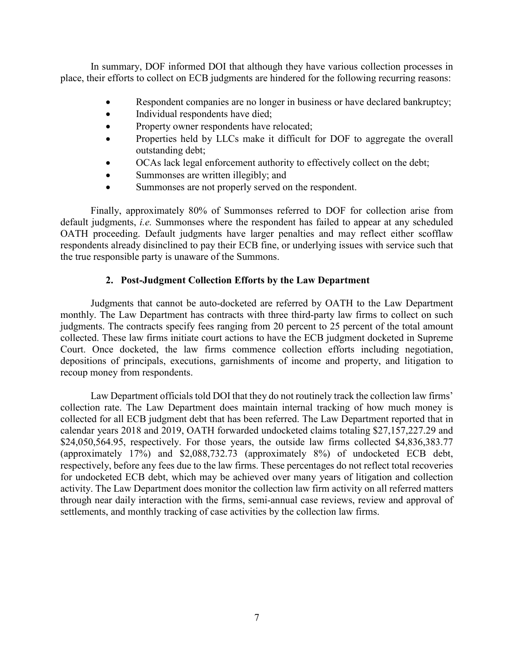In summary, DOF informed DOI that although they have various collection processes in place, their efforts to collect on ECB judgments are hindered for the following recurring reasons:

- Respondent companies are no longer in business or have declared bankruptcy;
- Individual respondents have died;
- Property owner respondents have relocated;
- Properties held by LLCs make it difficult for DOF to aggregate the overall outstanding debt;
- OCAs lack legal enforcement authority to effectively collect on the debt;
- Summonses are written illegibly; and
- Summonses are not properly served on the respondent.

Finally, approximately 80% of Summonses referred to DOF for collection arise from default judgments, *i.e.* Summonses where the respondent has failed to appear at any scheduled OATH proceeding. Default judgments have larger penalties and may reflect either scofflaw respondents already disinclined to pay their ECB fine, or underlying issues with service such that the true responsible party is unaware of the Summons.

#### **2. Post-Judgment Collection Efforts by the Law Department**

Judgments that cannot be auto-docketed are referred by OATH to the Law Department monthly. The Law Department has contracts with three third-party law firms to collect on such judgments. The contracts specify fees ranging from 20 percent to 25 percent of the total amount collected. These law firms initiate court actions to have the ECB judgment docketed in Supreme Court. Once docketed, the law firms commence collection efforts including negotiation, depositions of principals, executions, garnishments of income and property, and litigation to recoup money from respondents.

Law Department officials told DOI that they do not routinely track the collection law firms' collection rate. The Law Department does maintain internal tracking of how much money is collected for all ECB judgment debt that has been referred. The Law Department reported that in calendar years 2018 and 2019, OATH forwarded undocketed claims totaling \$27,157,227.29 and \$24,050,564.95, respectively. For those years, the outside law firms collected \$4,836,383.77 (approximately 17%) and \$2,088,732.73 (approximately 8%) of undocketed ECB debt, respectively, before any fees due to the law firms. These percentages do not reflect total recoveries for undocketed ECB debt, which may be achieved over many years of litigation and collection activity. The Law Department does monitor the collection law firm activity on all referred matters through near daily interaction with the firms, semi-annual case reviews, review and approval of settlements, and monthly tracking of case activities by the collection law firms.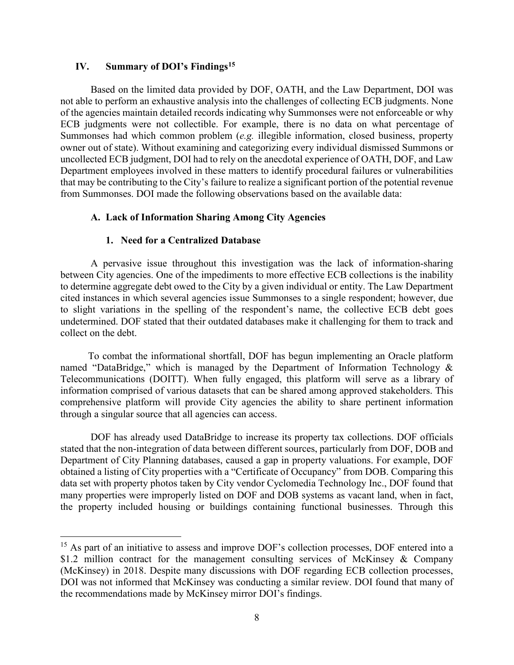#### **IV. Summary of DOI's Findings[15](#page-10-0)**

Based on the limited data provided by DOF, OATH, and the Law Department, DOI was not able to perform an exhaustive analysis into the challenges of collecting ECB judgments. None of the agencies maintain detailed records indicating why Summonses were not enforceable or why ECB judgments were not collectible. For example, there is no data on what percentage of Summonses had which common problem (*e.g.* illegible information, closed business, property owner out of state). Without examining and categorizing every individual dismissed Summons or uncollected ECB judgment, DOI had to rely on the anecdotal experience of OATH, DOF, and Law Department employees involved in these matters to identify procedural failures or vulnerabilities that may be contributing to the City's failure to realize a significant portion of the potential revenue from Summonses. DOI made the following observations based on the available data:

#### **A. Lack of Information Sharing Among City Agencies**

#### **1. Need for a Centralized Database**

A pervasive issue throughout this investigation was the lack of information-sharing between City agencies. One of the impediments to more effective ECB collections is the inability to determine aggregate debt owed to the City by a given individual or entity. The Law Department cited instances in which several agencies issue Summonses to a single respondent; however, due to slight variations in the spelling of the respondent's name, the collective ECB debt goes undetermined. DOF stated that their outdated databases make it challenging for them to track and collect on the debt.

 To combat the informational shortfall, DOF has begun implementing an Oracle platform named "DataBridge," which is managed by the Department of Information Technology & Telecommunications (DOITT). When fully engaged, this platform will serve as a library of information comprised of various datasets that can be shared among approved stakeholders. This comprehensive platform will provide City agencies the ability to share pertinent information through a singular source that all agencies can access.

DOF has already used DataBridge to increase its property tax collections. DOF officials stated that the non-integration of data between different sources, particularly from DOF, DOB and Department of City Planning databases, caused a gap in property valuations. For example, DOF obtained a listing of City properties with a "Certificate of Occupancy" from DOB. Comparing this data set with property photos taken by City vendor Cyclomedia Technology Inc., DOF found that many properties were improperly listed on DOF and DOB systems as vacant land, when in fact, the property included housing or buildings containing functional businesses. Through this

<span id="page-10-0"></span><sup>&</sup>lt;sup>15</sup> As part of an initiative to assess and improve DOF's collection processes, DOF entered into a \$1.2 million contract for the management consulting services of McKinsey & Company (McKinsey) in 2018. Despite many discussions with DOF regarding ECB collection processes, DOI was not informed that McKinsey was conducting a similar review. DOI found that many of the recommendations made by McKinsey mirror DOI's findings.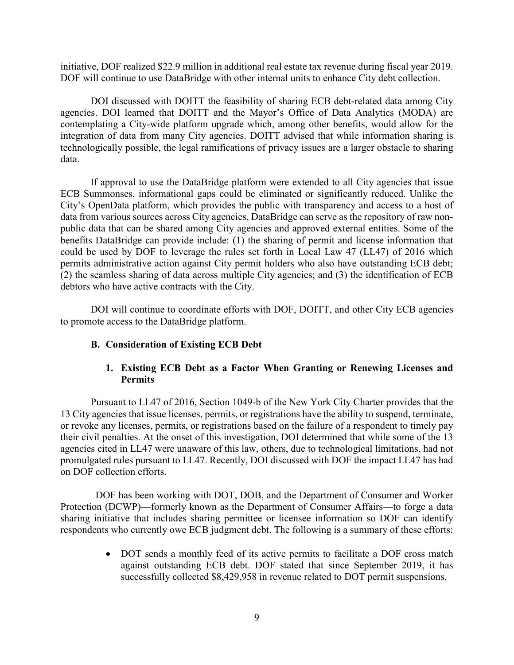initiative, DOF realized \$22.9 million in additional real estate tax revenue during fiscal year 2019. DOF will continue to use DataBridge with other internal units to enhance City debt collection.

DOI discussed with DOITT the feasibility of sharing ECB debt-related data among City agencies. DOI learned that DOITT and the Mayor's Office of Data Analytics (MODA) are contemplating a City-wide platform upgrade which, among other benefits, would allow for the integration of data from many City agencies. DOITT advised that while information sharing is technologically possible, the legal ramifications of privacy issues are a larger obstacle to sharing data.

If approval to use the DataBridge platform were extended to all City agencies that issue ECB Summonses, informational gaps could be eliminated or significantly reduced. Unlike the City's OpenData platform, which provides the public with transparency and access to a host of data from various sources across City agencies, DataBridge can serve as the repository of raw nonpublic data that can be shared among City agencies and approved external entities. Some of the benefits DataBridge can provide include: (1) the sharing of permit and license information that could be used by DOF to leverage the rules set forth in Local Law 47 (LL47) of 2016 which permits administrative action against City permit holders who also have outstanding ECB debt; (2) the seamless sharing of data across multiple City agencies; and (3) the identification of ECB debtors who have active contracts with the City.

DOI will continue to coordinate efforts with DOF, DOITT, and other City ECB agencies to promote access to the DataBridge platform.

#### **B. Consideration of Existing ECB Debt**

#### **1. Existing ECB Debt as a Factor When Granting or Renewing Licenses and Permits**

Pursuant to LL47 of 2016, Section 1049-b of the New York City Charter provides that the 13 City agencies that issue licenses, permits, or registrations have the ability to suspend, terminate, or revoke any licenses, permits, or registrations based on the failure of a respondent to timely pay their civil penalties. At the onset of this investigation, DOI determined that while some of the 13 agencies cited in LL47 were unaware of this law, others, due to technological limitations, had not promulgated rules pursuant to LL47. Recently, DOI discussed with DOF the impact LL47 has had on DOF collection efforts.

 DOF has been working with DOT, DOB, and the Department of Consumer and Worker Protection (DCWP)—formerly known as the Department of Consumer Affairs—to forge a data sharing initiative that includes sharing permittee or licensee information so DOF can identify respondents who currently owe ECB judgment debt. The following is a summary of these efforts:

> • DOT sends a monthly feed of its active permits to facilitate a DOF cross match against outstanding ECB debt. DOF stated that since September 2019, it has successfully collected \$8,429,958 in revenue related to DOT permit suspensions.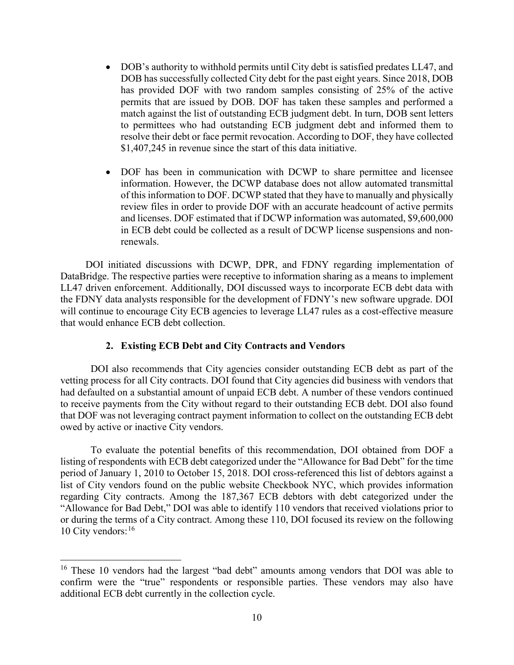- DOB's authority to withhold permits until City debt is satisfied predates LL47, and DOB has successfully collected City debt for the past eight years. Since 2018, DOB has provided DOF with two random samples consisting of 25% of the active permits that are issued by DOB. DOF has taken these samples and performed a match against the list of outstanding ECB judgment debt. In turn, DOB sent letters to permittees who had outstanding ECB judgment debt and informed them to resolve their debt or face permit revocation. According to DOF, they have collected \$1,407,245 in revenue since the start of this data initiative.
- DOF has been in communication with DCWP to share permittee and licensee information. However, the DCWP database does not allow automated transmittal of this information to DOF. DCWP stated that they have to manually and physically review files in order to provide DOF with an accurate headcount of active permits and licenses. DOF estimated that if DCWP information was automated, \$9,600,000 in ECB debt could be collected as a result of DCWP license suspensions and nonrenewals.

 DOI initiated discussions with DCWP, DPR, and FDNY regarding implementation of DataBridge. The respective parties were receptive to information sharing as a means to implement LL47 driven enforcement. Additionally, DOI discussed ways to incorporate ECB debt data with the FDNY data analysts responsible for the development of FDNY's new software upgrade. DOI will continue to encourage City ECB agencies to leverage LL47 rules as a cost-effective measure that would enhance ECB debt collection.

#### **2. Existing ECB Debt and City Contracts and Vendors**

DOI also recommends that City agencies consider outstanding ECB debt as part of the vetting process for all City contracts. DOI found that City agencies did business with vendors that had defaulted on a substantial amount of unpaid ECB debt. A number of these vendors continued to receive payments from the City without regard to their outstanding ECB debt. DOI also found that DOF was not leveraging contract payment information to collect on the outstanding ECB debt owed by active or inactive City vendors.

To evaluate the potential benefits of this recommendation, DOI obtained from DOF a listing of respondents with ECB debt categorized under the "Allowance for Bad Debt" for the time period of January 1, 2010 to October 15, 2018. DOI cross-referenced this list of debtors against a list of City vendors found on the public website Checkbook NYC, which provides information regarding City contracts. Among the 187,367 ECB debtors with debt categorized under the "Allowance for Bad Debt," DOI was able to identify 110 vendors that received violations prior to or during the terms of a City contract. Among these 110, DOI focused its review on the following 10 City vendors:  $16$ 

<span id="page-12-0"></span><sup>&</sup>lt;sup>16</sup> These 10 vendors had the largest "bad debt" amounts among vendors that DOI was able to confirm were the "true" respondents or responsible parties. These vendors may also have additional ECB debt currently in the collection cycle.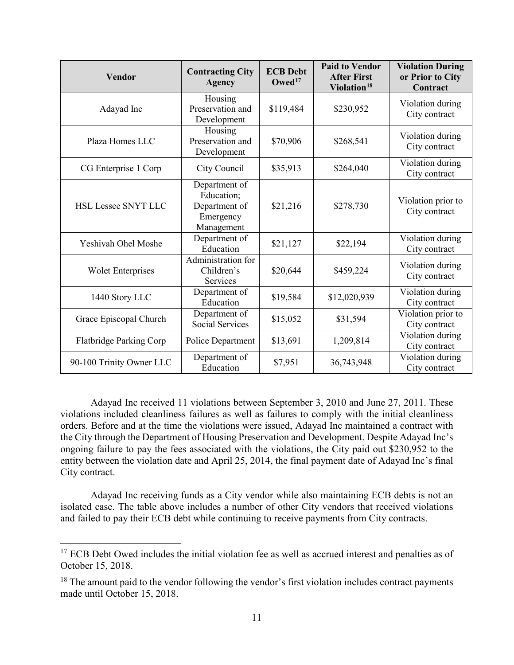| <b>Vendor</b>              | <b>Contracting City</b><br><b>Agency</b>                                | <b>ECB Debt</b><br>Owed <sup>17</sup> | <b>Paid to Vendor</b><br><b>After First</b><br>Violation <sup>18</sup> | <b>Violation During</b><br>or Prior to City<br>Contract |
|----------------------------|-------------------------------------------------------------------------|---------------------------------------|------------------------------------------------------------------------|---------------------------------------------------------|
| Adayad Inc                 | Housing<br>Preservation and<br>Development                              | \$119,484                             | \$230,952                                                              | Violation during<br>City contract                       |
| Plaza Homes LLC            | Housing<br>Preservation and<br>Development                              | \$70,906                              | \$268,541                                                              | Violation during<br>City contract                       |
| CG Enterprise 1 Corp       | City Council                                                            | \$35,913                              | \$264,040                                                              | Violation during<br>City contract                       |
| <b>HSL Lessee SNYT LLC</b> | Department of<br>Education:<br>Department of<br>Emergency<br>Management | \$21,216                              | \$278,730                                                              | Violation prior to<br>City contract                     |
| Yeshivah Ohel Moshe        | Department of<br>Education                                              | \$21,127                              | \$22,194                                                               | Violation during<br>City contract                       |
| <b>Wolet Enterprises</b>   | Administration for<br>Children's<br>Services                            | \$20,644                              | \$459,224                                                              | Violation during<br>City contract                       |
| 1440 Story LLC             | Department of<br>Education                                              | \$19,584                              | \$12,020,939                                                           | Violation during<br>City contract                       |
| Grace Episcopal Church     | Department of<br><b>Social Services</b>                                 | \$15,052                              | \$31,594                                                               | Violation prior to<br>City contract                     |
| Flatbridge Parking Corp    | Police Department                                                       | \$13,691                              | 1,209,814                                                              | Violation during<br>City contract                       |
| 90-100 Trinity Owner LLC   | Department of<br>Education                                              | \$7,951                               | 36,743,948                                                             | Violation during<br>City contract                       |

Adayad Inc received 11 violations between September 3, 2010 and June 27, 2011. These violations included cleanliness failures as well as failures to comply with the initial cleanliness orders. Before and at the time the violations were issued, Adayad Inc maintained a contract with the City through the Department of Housing Preservation and Development. Despite Adayad Inc's ongoing failure to pay the fees associated with the violations, the City paid out \$230,952 to the entity between the violation date and April 25, 2014, the final payment date of Adayad Inc's final City contract.

Adayad Inc receiving funds as a City vendor while also maintaining ECB debts is not an isolated case. The table above includes a number of other City vendors that received violations and failed to pay their ECB debt while continuing to receive payments from City contracts.

<span id="page-13-0"></span><sup>&</sup>lt;sup>17</sup> ECB Debt Owed includes the initial violation fee as well as accrued interest and penalties as of October 15, 2018.

<span id="page-13-1"></span> $18$  The amount paid to the vendor following the vendor's first violation includes contract payments made until October 15, 2018.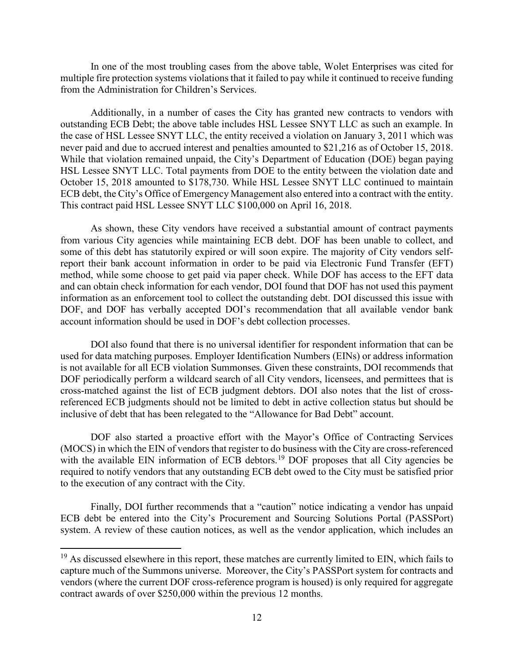In one of the most troubling cases from the above table, Wolet Enterprises was cited for multiple fire protection systems violations that it failed to pay while it continued to receive funding from the Administration for Children's Services.

Additionally, in a number of cases the City has granted new contracts to vendors with outstanding ECB Debt; the above table includes HSL Lessee SNYT LLC as such an example. In the case of HSL Lessee SNYT LLC, the entity received a violation on January 3, 2011 which was never paid and due to accrued interest and penalties amounted to \$21,216 as of October 15, 2018. While that violation remained unpaid, the City's Department of Education (DOE) began paying HSL Lessee SNYT LLC. Total payments from DOE to the entity between the violation date and October 15, 2018 amounted to \$178,730. While HSL Lessee SNYT LLC continued to maintain ECB debt, the City's Office of Emergency Management also entered into a contract with the entity. This contract paid HSL Lessee SNYT LLC \$100,000 on April 16, 2018.

As shown, these City vendors have received a substantial amount of contract payments from various City agencies while maintaining ECB debt. DOF has been unable to collect, and some of this debt has statutorily expired or will soon expire. The majority of City vendors selfreport their bank account information in order to be paid via Electronic Fund Transfer (EFT) method, while some choose to get paid via paper check. While DOF has access to the EFT data and can obtain check information for each vendor, DOI found that DOF has not used this payment information as an enforcement tool to collect the outstanding debt. DOI discussed this issue with DOF, and DOF has verbally accepted DOI's recommendation that all available vendor bank account information should be used in DOF's debt collection processes.

DOI also found that there is no universal identifier for respondent information that can be used for data matching purposes. Employer Identification Numbers (EINs) or address information is not available for all ECB violation Summonses. Given these constraints, DOI recommends that DOF periodically perform a wildcard search of all City vendors, licensees, and permittees that is cross-matched against the list of ECB judgment debtors. DOI also notes that the list of crossreferenced ECB judgments should not be limited to debt in active collection status but should be inclusive of debt that has been relegated to the "Allowance for Bad Debt" account.

DOF also started a proactive effort with the Mayor's Office of Contracting Services (MOCS) in which the EIN of vendors that register to do business with the City are cross-referenced with the available EIN information of ECB debtors.<sup>[19](#page-14-0)</sup> DOF proposes that all City agencies be required to notify vendors that any outstanding ECB debt owed to the City must be satisfied prior to the execution of any contract with the City.

Finally, DOI further recommends that a "caution" notice indicating a vendor has unpaid ECB debt be entered into the City's Procurement and Sourcing Solutions Portal (PASSPort) system. A review of these caution notices, as well as the vendor application, which includes an

<span id="page-14-0"></span> $19$  As discussed elsewhere in this report, these matches are currently limited to EIN, which fails to capture much of the Summons universe. Moreover, the City's PASSPort system for contracts and vendors (where the current DOF cross-reference program is housed) is only required for aggregate contract awards of over \$250,000 within the previous 12 months.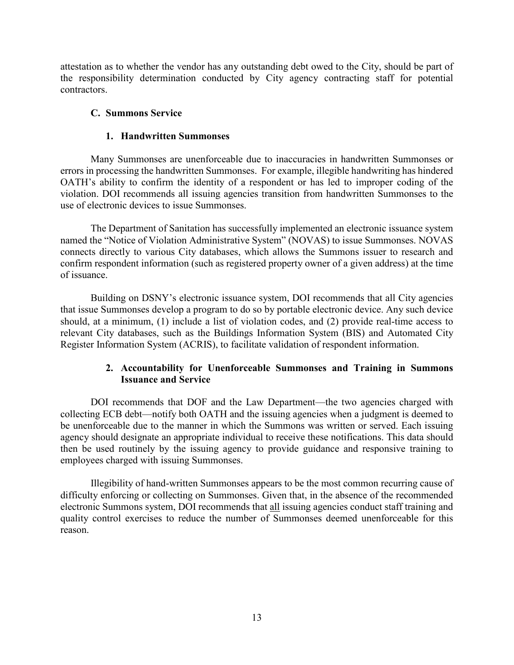attestation as to whether the vendor has any outstanding debt owed to the City, should be part of the responsibility determination conducted by City agency contracting staff for potential contractors.

#### **C. Summons Service**

#### **1. Handwritten Summonses**

Many Summonses are unenforceable due to inaccuracies in handwritten Summonses or errors in processing the handwritten Summonses. For example, illegible handwriting has hindered OATH's ability to confirm the identity of a respondent or has led to improper coding of the violation. DOI recommends all issuing agencies transition from handwritten Summonses to the use of electronic devices to issue Summonses.

The Department of Sanitation has successfully implemented an electronic issuance system named the "Notice of Violation Administrative System" (NOVAS) to issue Summonses. NOVAS connects directly to various City databases, which allows the Summons issuer to research and confirm respondent information (such as registered property owner of a given address) at the time of issuance.

Building on DSNY's electronic issuance system, DOI recommends that all City agencies that issue Summonses develop a program to do so by portable electronic device. Any such device should, at a minimum, (1) include a list of violation codes, and (2) provide real-time access to relevant City databases, such as the Buildings Information System (BIS) and Automated City Register Information System (ACRIS), to facilitate validation of respondent information.

#### **2. Accountability for Unenforceable Summonses and Training in Summons Issuance and Service**

DOI recommends that DOF and the Law Department—the two agencies charged with collecting ECB debt—notify both OATH and the issuing agencies when a judgment is deemed to be unenforceable due to the manner in which the Summons was written or served. Each issuing agency should designate an appropriate individual to receive these notifications. This data should then be used routinely by the issuing agency to provide guidance and responsive training to employees charged with issuing Summonses.

Illegibility of hand-written Summonses appears to be the most common recurring cause of difficulty enforcing or collecting on Summonses. Given that, in the absence of the recommended electronic Summons system, DOI recommends that all issuing agencies conduct staff training and quality control exercises to reduce the number of Summonses deemed unenforceable for this reason.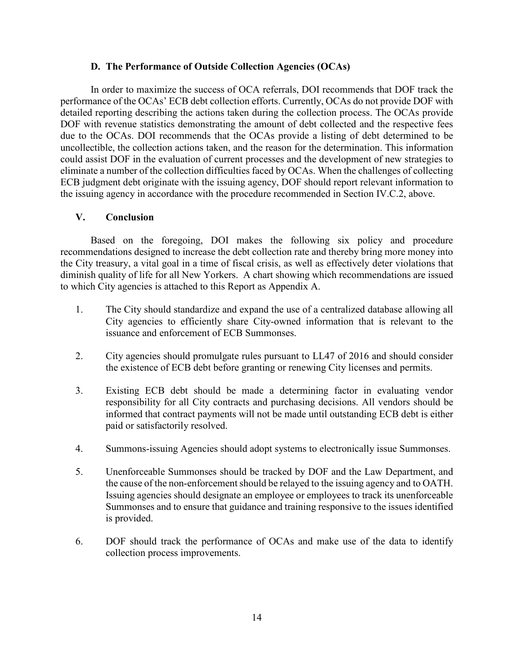#### **D. The Performance of Outside Collection Agencies (OCAs)**

In order to maximize the success of OCA referrals, DOI recommends that DOF track the performance of the OCAs' ECB debt collection efforts. Currently, OCAs do not provide DOF with detailed reporting describing the actions taken during the collection process. The OCAs provide DOF with revenue statistics demonstrating the amount of debt collected and the respective fees due to the OCAs. DOI recommends that the OCAs provide a listing of debt determined to be uncollectible, the collection actions taken, and the reason for the determination. This information could assist DOF in the evaluation of current processes and the development of new strategies to eliminate a number of the collection difficulties faced by OCAs. When the challenges of collecting ECB judgment debt originate with the issuing agency, DOF should report relevant information to the issuing agency in accordance with the procedure recommended in Section IV.C.2, above.

#### **V. Conclusion**

Based on the foregoing, DOI makes the following six policy and procedure recommendations designed to increase the debt collection rate and thereby bring more money into the City treasury, a vital goal in a time of fiscal crisis, as well as effectively deter violations that diminish quality of life for all New Yorkers. A chart showing which recommendations are issued to which City agencies is attached to this Report as Appendix A.

- 1. The City should standardize and expand the use of a centralized database allowing all City agencies to efficiently share City-owned information that is relevant to the issuance and enforcement of ECB Summonses.
- 2. City agencies should promulgate rules pursuant to LL47 of 2016 and should consider the existence of ECB debt before granting or renewing City licenses and permits.
- 3. Existing ECB debt should be made a determining factor in evaluating vendor responsibility for all City contracts and purchasing decisions. All vendors should be informed that contract payments will not be made until outstanding ECB debt is either paid or satisfactorily resolved.
- 4. Summons-issuing Agencies should adopt systems to electronically issue Summonses.
- 5. Unenforceable Summonses should be tracked by DOF and the Law Department, and the cause of the non-enforcement should be relayed to the issuing agency and to OATH. Issuing agencies should designate an employee or employees to track its unenforceable Summonses and to ensure that guidance and training responsive to the issues identified is provided.
- 6. DOF should track the performance of OCAs and make use of the data to identify collection process improvements.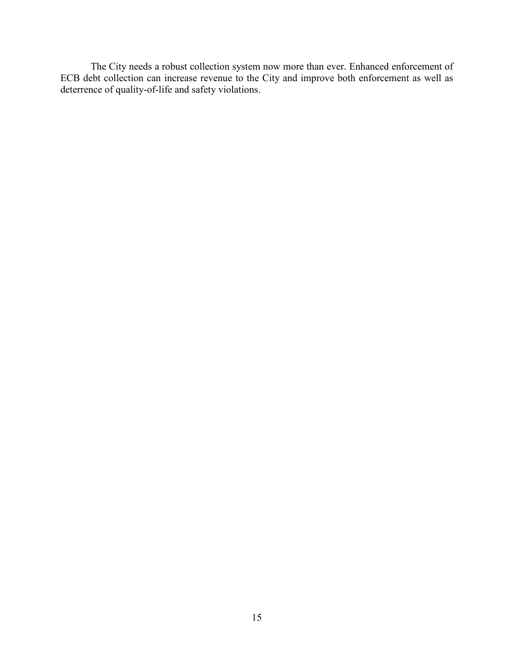The City needs a robust collection system now more than ever. Enhanced enforcement of ECB debt collection can increase revenue to the City and improve both enforcement as well as deterrence of quality-of-life and safety violations.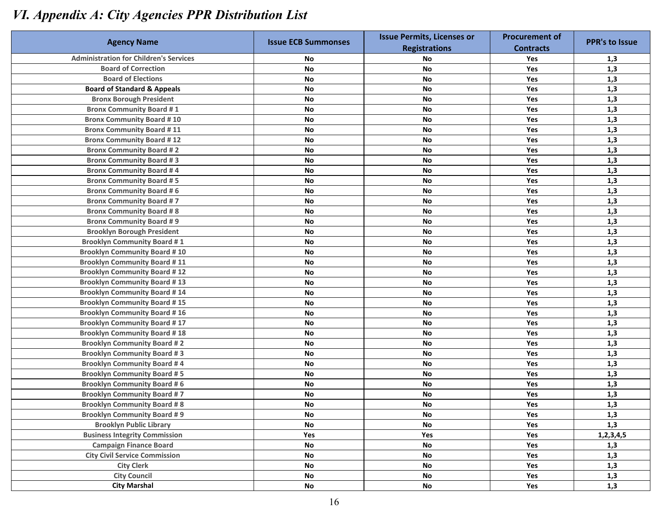## *VI. Appendix A: City Agencies PPR Distribution List*

|                                               | <b>Issue ECB Summonses</b> | <b>Issue Permits, Licenses or</b> | <b>Procurement of</b> |                       |  |
|-----------------------------------------------|----------------------------|-----------------------------------|-----------------------|-----------------------|--|
| <b>Agency Name</b>                            |                            | <b>Registrations</b>              | <b>Contracts</b>      | <b>PPR's to Issue</b> |  |
| <b>Administration for Children's Services</b> | No                         | No                                | Yes                   | 1,3                   |  |
| <b>Board of Correction</b>                    | No                         | <b>No</b>                         | Yes                   | 1,3                   |  |
| <b>Board of Elections</b>                     | <b>No</b>                  | No                                | Yes                   | 1,3                   |  |
| <b>Board of Standard &amp; Appeals</b>        | <b>No</b>                  | <b>No</b>                         | Yes                   | 1,3                   |  |
| <b>Bronx Borough President</b>                | <b>No</b>                  | No                                | Yes                   | 1,3                   |  |
| <b>Bronx Community Board #1</b>               | <b>No</b>                  | <b>No</b>                         | Yes                   | 1,3                   |  |
| <b>Bronx Community Board #10</b>              | <b>No</b>                  | <b>No</b>                         | Yes                   | 1,3                   |  |
| <b>Bronx Community Board #11</b>              | <b>No</b>                  | <b>No</b>                         | Yes                   | 1,3                   |  |
| <b>Bronx Community Board #12</b>              | <b>No</b>                  | <b>No</b>                         | Yes                   | 1,3                   |  |
| <b>Bronx Community Board #2</b>               | <b>No</b>                  | <b>No</b>                         | Yes                   | 1,3                   |  |
| <b>Bronx Community Board #3</b>               | <b>No</b>                  | <b>No</b>                         | Yes                   | 1,3                   |  |
| <b>Bronx Community Board #4</b>               | <b>No</b>                  | <b>No</b>                         | Yes                   | 1,3                   |  |
| <b>Bronx Community Board #5</b>               | <b>No</b>                  | <b>No</b>                         | Yes                   | 1,3                   |  |
| <b>Bronx Community Board #6</b>               | <b>No</b>                  | <b>No</b>                         | Yes                   | 1,3                   |  |
| <b>Bronx Community Board #7</b>               | <b>No</b>                  | <b>No</b>                         | Yes                   | 1,3                   |  |
| <b>Bronx Community Board #8</b>               | <b>No</b>                  | <b>No</b>                         | Yes                   | 1,3                   |  |
| <b>Bronx Community Board #9</b>               | <b>No</b>                  | <b>No</b>                         | Yes                   | 1,3                   |  |
| <b>Brooklyn Borough President</b>             | <b>No</b>                  | <b>No</b>                         | Yes                   | 1,3                   |  |
| <b>Brooklyn Community Board #1</b>            | <b>No</b>                  | No                                | Yes                   | 1,3                   |  |
| <b>Brooklyn Community Board #10</b>           | <b>No</b>                  | <b>No</b>                         | Yes                   | 1,3                   |  |
| <b>Brooklyn Community Board #11</b>           | <b>No</b>                  | <b>No</b>                         | Yes                   | 1,3                   |  |
| <b>Brooklyn Community Board #12</b>           | <b>No</b>                  | <b>No</b>                         | Yes                   | 1,3                   |  |
| <b>Brooklyn Community Board #13</b>           | No                         | <b>No</b>                         | Yes                   | 1,3                   |  |
| <b>Brooklyn Community Board #14</b>           | No                         | <b>No</b>                         | Yes                   | 1,3                   |  |
| <b>Brooklyn Community Board #15</b>           | No                         | No                                | Yes                   | 1,3                   |  |
| <b>Brooklyn Community Board #16</b>           | No                         | <b>No</b>                         | Yes                   | 1,3                   |  |
| <b>Brooklyn Community Board #17</b>           | No                         | <b>No</b>                         | Yes                   | 1,3                   |  |
| <b>Brooklyn Community Board #18</b>           | No                         | <b>No</b>                         | Yes                   | 1,3                   |  |
| <b>Brooklyn Community Board #2</b>            | No                         | <b>No</b>                         | Yes                   | 1,3                   |  |
| <b>Brooklyn Community Board #3</b>            | <b>No</b>                  | <b>No</b>                         | Yes                   | 1,3                   |  |
| <b>Brooklyn Community Board #4</b>            | No                         | <b>No</b>                         | Yes                   | 1,3                   |  |
| <b>Brooklyn Community Board #5</b>            | No                         | <b>No</b>                         | Yes                   | 1,3                   |  |
| <b>Brooklyn Community Board #6</b>            | <b>No</b>                  | No                                | Yes                   | 1,3                   |  |
| <b>Brooklyn Community Board #7</b>            | <b>No</b>                  | <b>No</b>                         | Yes                   | 1,3                   |  |
| <b>Brooklyn Community Board #8</b>            | No                         | No                                | Yes                   | 1,3                   |  |
| <b>Brooklyn Community Board #9</b>            | No                         | No                                | Yes                   | 1,3                   |  |
| <b>Brooklyn Public Library</b>                | No                         | No                                | Yes                   | 1,3                   |  |
| <b>Business Integrity Commission</b>          | Yes                        | Yes                               | Yes                   | 1, 2, 3, 4, 5         |  |
| <b>Campaign Finance Board</b>                 | $\mathsf{No}$              | No                                | Yes                   | 1,3                   |  |
| <b>City Civil Service Commission</b>          | $\mathsf{No}$              | No                                | Yes                   | 1,3                   |  |
| <b>City Clerk</b>                             | $\mathsf{No}$              | No                                | Yes                   | 1,3                   |  |
| <b>City Council</b>                           | No                         | No                                | Yes                   | 1,3                   |  |
| <b>City Marshal</b>                           | $\mathsf{No}$              | No                                | Yes                   | 1,3                   |  |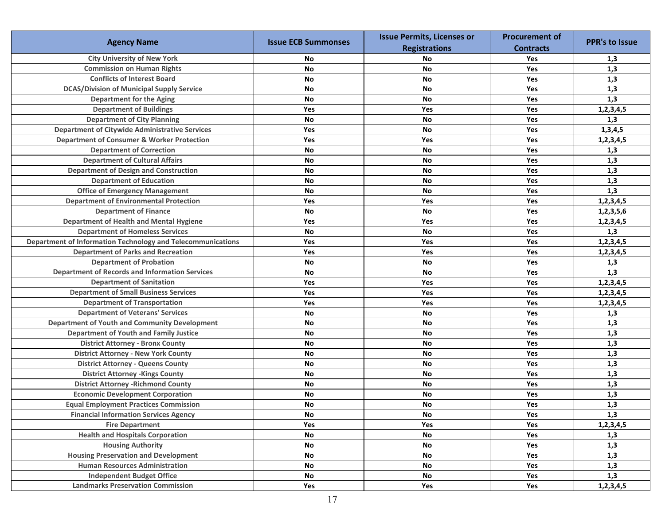|                                                             |                            | <b>Issue Permits, Licenses or</b> | <b>Procurement of</b> |                       |
|-------------------------------------------------------------|----------------------------|-----------------------------------|-----------------------|-----------------------|
| <b>Agency Name</b>                                          | <b>Issue ECB Summonses</b> | <b>Registrations</b>              | <b>Contracts</b>      | <b>PPR's to Issue</b> |
| <b>City University of New York</b>                          | No                         | <b>No</b>                         | Yes                   | 1,3                   |
| <b>Commission on Human Rights</b>                           | <b>No</b>                  | <b>No</b>                         | Yes                   | 1,3                   |
| <b>Conflicts of Interest Board</b>                          | <b>No</b>                  | <b>No</b>                         | Yes                   | 1,3                   |
| <b>DCAS/Division of Municipal Supply Service</b>            | <b>No</b>                  | <b>No</b>                         | Yes                   | 1,3                   |
| <b>Department for the Aging</b>                             | <b>No</b>                  | <b>No</b>                         | Yes                   | 1,3                   |
| <b>Department of Buildings</b>                              | Yes                        | Yes                               | Yes                   | 1,2,3,4,5             |
| <b>Department of City Planning</b>                          | <b>No</b>                  | <b>No</b>                         | Yes                   | 1,3                   |
| <b>Department of Citywide Administrative Services</b>       | Yes                        | No                                | Yes                   | 1,3,4,5               |
| <b>Department of Consumer &amp; Worker Protection</b>       | Yes                        | Yes                               | Yes                   | 1,2,3,4,5             |
| <b>Department of Correction</b>                             | No                         | No                                | <b>Yes</b>            | 1,3                   |
| <b>Department of Cultural Affairs</b>                       | No                         | No                                | Yes                   | 1,3                   |
| <b>Department of Design and Construction</b>                | No                         | No                                | Yes                   | 1,3                   |
| <b>Department of Education</b>                              | No                         | <b>No</b>                         | Yes                   | 1,3                   |
| <b>Office of Emergency Management</b>                       | <b>No</b>                  | No                                | Yes                   | 1,3                   |
| <b>Department of Environmental Protection</b>               | Yes                        | Yes                               | Yes                   | 1,2,3,4,5             |
| <b>Department of Finance</b>                                | <b>No</b>                  | No                                | Yes                   | 1,2,3,5,6             |
| Department of Health and Mental Hygiene                     | Yes                        | Yes                               | Yes                   | 1,2,3,4,5             |
| <b>Department of Homeless Services</b>                      | <b>No</b>                  | No                                | Yes                   | 1,3                   |
| Department of Information Technology and Telecommunications | Yes                        | Yes                               | Yes                   | 1,2,3,4,5             |
| <b>Department of Parks and Recreation</b>                   | Yes                        | Yes                               | Yes                   | 1,2,3,4,5             |
| <b>Department of Probation</b>                              | <b>No</b>                  | No                                | Yes                   | 1,3                   |
| <b>Department of Records and Information Services</b>       | <b>No</b>                  | No                                | Yes                   | 1,3                   |
| <b>Department of Sanitation</b>                             | Yes                        | Yes                               | Yes                   | 1,2,3,4,5             |
| <b>Department of Small Business Services</b>                | Yes                        | Yes                               | Yes                   | 1,2,3,4,5             |
| <b>Department of Transportation</b>                         | Yes                        | Yes                               | Yes                   | 1,2,3,4,5             |
| <b>Department of Veterans' Services</b>                     | <b>No</b>                  | No                                | Yes                   | 1,3                   |
| <b>Department of Youth and Community Development</b>        | <b>No</b>                  | No                                | Yes                   | 1,3                   |
| <b>Department of Youth and Family Justice</b>               | <b>No</b>                  | No                                | Yes                   | 1,3                   |
| <b>District Attorney - Bronx County</b>                     | <b>No</b>                  | <b>No</b>                         | Yes                   | 1,3                   |
| <b>District Attorney - New York County</b>                  | <b>No</b>                  | <b>No</b>                         | Yes                   | 1,3                   |
| <b>District Attorney - Queens County</b>                    | <b>No</b>                  | No                                | Yes                   | 1,3                   |
| <b>District Attorney - Kings County</b>                     | <b>No</b>                  | No                                | Yes                   | 1,3                   |
| <b>District Attorney -Richmond County</b>                   | <b>No</b>                  | <b>No</b>                         | Yes                   | 1,3                   |
| <b>Economic Development Corporation</b>                     | <b>No</b>                  | No                                | Yes                   | 1,3                   |
| <b>Equal Employment Practices Commission</b>                | No                         | $\mathsf{No}$                     | Yes                   | 1,3                   |
| <b>Financial Information Services Agency</b>                | <b>No</b>                  | No                                | Yes                   | 1,3                   |
| <b>Fire Department</b>                                      | Yes                        | Yes                               | Yes                   | 1,2,3,4,5             |
| <b>Health and Hospitals Corporation</b>                     | No                         | <b>No</b>                         | Yes                   | 1,3                   |
| <b>Housing Authority</b>                                    | No                         | No                                | Yes                   | 1,3                   |
| <b>Housing Preservation and Development</b>                 | $\mathsf{No}$              | No                                | Yes                   | 1,3                   |
| <b>Human Resources Administration</b>                       | No                         | No                                | Yes                   | 1,3                   |
| <b>Independent Budget Office</b>                            | No                         | No                                | Yes                   | 1,3                   |
| <b>Landmarks Preservation Commission</b>                    | Yes                        | Yes                               | Yes                   | 1,2,3,4,5             |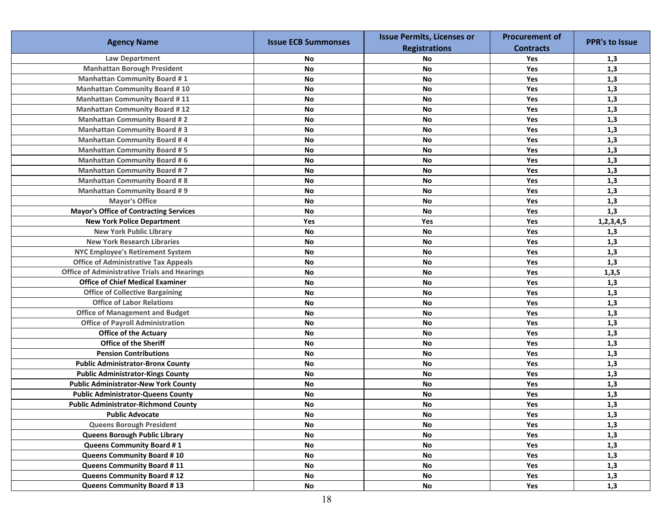|                                                     |                            | <b>Issue Permits, Licenses or</b> | <b>Procurement of</b> |                       |
|-----------------------------------------------------|----------------------------|-----------------------------------|-----------------------|-----------------------|
| <b>Agency Name</b>                                  | <b>Issue ECB Summonses</b> | <b>Registrations</b>              | <b>Contracts</b>      | <b>PPR's to Issue</b> |
| <b>Law Department</b>                               | No                         | No                                | Yes                   | 1,3                   |
| <b>Manhattan Borough President</b>                  | <b>No</b>                  | <b>No</b>                         | Yes                   | 1,3                   |
| <b>Manhattan Community Board #1</b>                 | <b>No</b>                  | <b>No</b>                         | Yes                   | 1,3                   |
| <b>Manhattan Community Board #10</b>                | <b>No</b>                  | <b>No</b>                         | Yes                   | 1,3                   |
| <b>Manhattan Community Board #11</b>                | <b>No</b>                  | <b>No</b>                         | Yes                   | 1,3                   |
| <b>Manhattan Community Board #12</b>                | No                         | <b>No</b>                         | Yes                   | 1,3                   |
| <b>Manhattan Community Board #2</b>                 | <b>No</b>                  | <b>No</b>                         | Yes                   | 1,3                   |
| <b>Manhattan Community Board #3</b>                 | No                         | No                                | Yes                   | 1,3                   |
| <b>Manhattan Community Board #4</b>                 | <b>No</b>                  | No                                | Yes                   | 1,3                   |
| <b>Manhattan Community Board #5</b>                 | No                         | <b>No</b>                         | Yes                   | 1,3                   |
| <b>Manhattan Community Board #6</b>                 | <b>No</b>                  | No                                | Yes                   | 1,3                   |
| <b>Manhattan Community Board #7</b>                 | <b>No</b>                  | <b>No</b>                         | Yes                   | 1,3                   |
| <b>Manhattan Community Board #8</b>                 | <b>No</b>                  | No                                | Yes                   | 1,3                   |
| <b>Manhattan Community Board #9</b>                 | <b>No</b>                  | No                                | Yes                   | 1,3                   |
| <b>Mayor's Office</b>                               | <b>No</b>                  | <b>No</b>                         | Yes                   | 1,3                   |
| <b>Mayor's Office of Contracting Services</b>       | <b>No</b>                  | <b>No</b>                         | Yes                   | 1,3                   |
| <b>New York Police Department</b>                   | Yes                        | Yes                               | Yes                   | 1,2,3,4,5             |
| <b>New York Public Library</b>                      | <b>No</b>                  | <b>No</b>                         | Yes                   | 1,3                   |
| <b>New York Research Libraries</b>                  | <b>No</b>                  | <b>No</b>                         | Yes                   | 1,3                   |
| <b>NYC Employee's Retirement System</b>             | <b>No</b>                  | <b>No</b>                         | Yes                   | 1,3                   |
| <b>Office of Administrative Tax Appeals</b>         | No                         | <b>No</b>                         | Yes                   | 1,3                   |
| <b>Office of Administrative Trials and Hearings</b> | No                         | No                                | Yes                   | 1, 3, 5               |
| <b>Office of Chief Medical Examiner</b>             | <b>No</b>                  | <b>No</b>                         | Yes                   | 1,3                   |
| <b>Office of Collective Bargaining</b>              | <b>No</b>                  | <b>No</b>                         | Yes                   | 1,3                   |
| <b>Office of Labor Relations</b>                    | <b>No</b>                  | <b>No</b>                         | Yes                   | 1,3                   |
| <b>Office of Management and Budget</b>              | No                         | <b>No</b>                         | Yes                   | 1,3                   |
| <b>Office of Payroll Administration</b>             | <b>No</b>                  | <b>No</b>                         | Yes                   | 1,3                   |
| <b>Office of the Actuary</b>                        | No                         | <b>No</b>                         | Yes                   | 1,3                   |
| Office of the Sheriff                               | <b>No</b>                  | <b>No</b>                         | Yes                   | 1,3                   |
| <b>Pension Contributions</b>                        | No                         | <b>No</b>                         | Yes                   | 1,3                   |
| <b>Public Administrator-Bronx County</b>            | <b>No</b>                  | <b>No</b>                         | Yes                   | 1,3                   |
| <b>Public Administrator-Kings County</b>            | <b>No</b>                  | <b>No</b>                         | Yes                   | 1,3                   |
| <b>Public Administrator-New York County</b>         | <b>No</b>                  | No                                | Yes                   | 1,3                   |
| <b>Public Administrator-Queens County</b>           | <b>No</b>                  | No                                | Yes                   | 1,3                   |
| <b>Public Administrator-Richmond County</b>         | ${\sf No}$                 | No                                | Yes                   | 1,3                   |
| <b>Public Advocate</b>                              | No                         | No                                | Yes                   | 1,3                   |
| <b>Queens Borough President</b>                     | No                         | No                                | Yes                   | 1,3                   |
| Queens Borough Public Library                       | No                         | No                                | Yes                   | 1,3                   |
| <b>Queens Community Board #1</b>                    | No                         | No                                | Yes                   | 1,3                   |
| <b>Queens Community Board #10</b>                   | No                         | No                                | Yes                   | 1,3                   |
| Queens Community Board #11                          | No                         | No                                | Yes                   | 1,3                   |
| <b>Queens Community Board #12</b>                   | No                         | No                                | Yes                   | 1,3                   |
| <b>Queens Community Board #13</b>                   | $\mathsf{No}$              | No                                | Yes                   | 1,3                   |